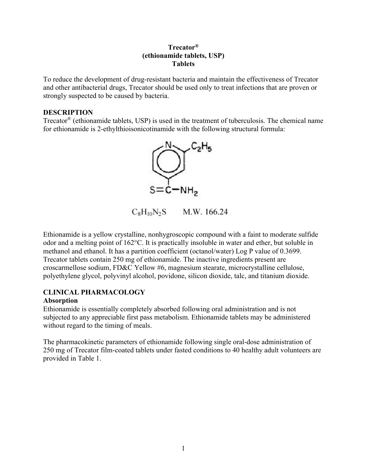## **Trecator® (ethionamide tablets, USP) Tablets**

To reduce the development of drug-resistant bacteria and maintain the effectiveness of Trecator and other antibacterial drugs, Trecator should be used only to treat infections that are proven or strongly suspected to be caused by bacteria.

#### **DESCRIPTION**

Trecator® (ethionamide tablets, USP) is used in the treatment of tuberculosis. The chemical name for ethionamide is 2-ethylthioisonicotinamide with the following structural formula:



 $C_8H_{10}N_2S$ M.W. 166.24

Ethionamide is a yellow crystalline, nonhygroscopic compound with a faint to moderate sulfide odor and a melting point of 162°C. It is practically insoluble in water and ether, but soluble in methanol and ethanol. It has a partition coefficient (octanol/water) Log P value of 0.3699. Trecator tablets contain 250 mg of ethionamide. The inactive ingredients present are croscarmellose sodium, FD&C Yellow #6, magnesium stearate, microcrystalline cellulose, polyethylene glycol, polyvinyl alcohol, povidone, silicon dioxide, talc, and titanium dioxide.

#### **CLINICAL PHARMACOLOGY Absorption**

Ethionamide is essentially completely absorbed following oral administration and is not subjected to any appreciable first pass metabolism. Ethionamide tablets may be administered without regard to the timing of meals.

The pharmacokinetic parameters of ethionamide following single oral-dose administration of 250 mg of Trecator film-coated tablets under fasted conditions to 40 healthy adult volunteers are provided in Table 1.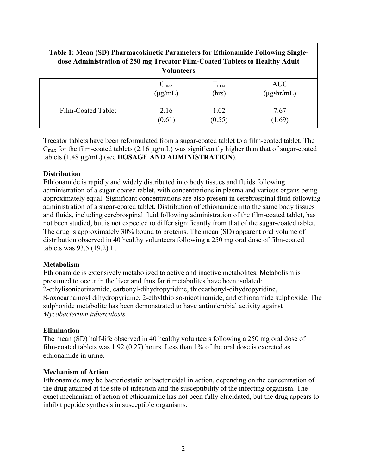| Table 1: Mean (SD) Pharmacokinetic Parameters for Ethionamide Following Single-<br>dose Administration of 250 mg Trecator Film-Coated Tablets to Healthy Adult<br><b>Volunteers</b> |                  |               |                       |
|-------------------------------------------------------------------------------------------------------------------------------------------------------------------------------------|------------------|---------------|-----------------------|
|                                                                                                                                                                                     | $C_{\text{max}}$ | $T_{\rm max}$ | AUC.                  |
|                                                                                                                                                                                     | $(\mu g/mL)$     | (hrs)         | $(\mu g \cdot hr/mL)$ |
| Film-Coated Tablet                                                                                                                                                                  | 2.16             | 1.02          | 7.67                  |
|                                                                                                                                                                                     | (0.61)           | (0.55)        | 1.69)                 |

Trecator tablets have been reformulated from a sugar-coated tablet to a film-coated tablet. The  $C_{\text{max}}$  for the film-coated tablets (2.16  $\mu$ g/mL) was significantly higher than that of sugar-coated tablets (1.48 μg/mL) (see **DOSAGE AND ADMINISTRATION**).

#### **Distribution**

Ethionamide is rapidly and widely distributed into body tissues and fluids following administration of a sugar-coated tablet, with concentrations in plasma and various organs being approximately equal. Significant concentrations are also present in cerebrospinal fluid following administration of a sugar-coated tablet. Distribution of ethionamide into the same body tissues and fluids, including cerebrospinal fluid following administration of the film-coated tablet, has not been studied, but is not expected to differ significantly from that of the sugar-coated tablet. The drug is approximately 30% bound to proteins. The mean (SD) apparent oral volume of distribution observed in 40 healthy volunteers following a 250 mg oral dose of film-coated tablets was 93.5 (19.2) L.

#### **Metabolism**

Ethionamide is extensively metabolized to active and inactive metabolites. Metabolism is presumed to occur in the liver and thus far 6 metabolites have been isolated: 2-ethylisonicotinamide, carbonyl-dihydropyridine, thiocarbonyl-dihydropyridine, S-oxocarbamoyl dihydropyridine, 2-ethylthioiso-nicotinamide, and ethionamide sulphoxide. The sulphoxide metabolite has been demonstrated to have antimicrobial activity against *Mycobacterium tuberculosis.*

## **Elimination**

The mean (SD) half-life observed in 40 healthy volunteers following a 250 mg oral dose of film-coated tablets was 1.92 (0.27) hours. Less than 1% of the oral dose is excreted as ethionamide in urine.

#### **Mechanism of Action**

Ethionamide may be bacteriostatic or bactericidal in action, depending on the concentration of the drug attained at the site of infection and the susceptibility of the infecting organism. The exact mechanism of action of ethionamide has not been fully elucidated, but the drug appears to inhibit peptide synthesis in susceptible organisms.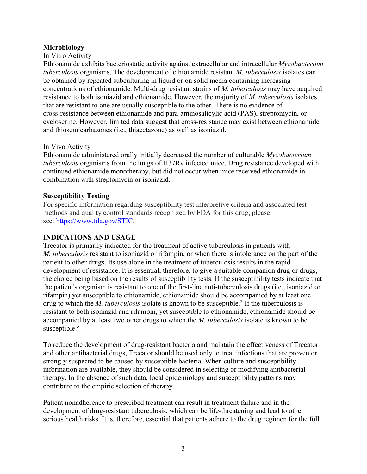### **Microbiology**

### In Vitro Activity

Ethionamide exhibits bacteriostatic activity against extracellular and intracellular *Mycobacterium tuberculosis* organisms. The development of ethionamide resistant *M. tuberculosis* isolates can be obtained by repeated subculturing in liquid or on solid media containing increasing concentrations of ethionamide. Multi-drug resistant strains of *M. tuberculosis* may have acquired resistance to both isoniazid and ethionamide. However, the majority of *M. tuberculosis* isolates that are resistant to one are usually susceptible to the other. There is no evidence of cross-resistance between ethionamide and para-aminosalicylic acid (PAS), streptomycin, or cycloserine. However, limited data suggest that cross-resistance may exist between ethionamide and thiosemicarbazones (i.e., thiacetazone) as well as isoniazid.

### In Vivo Activity

Ethionamide administered orally initially decreased the number of culturable *Mycobacterium tuberculosis* organisms from the lungs of H37Rv infected mice. Drug resistance developed with continued ethionamide monotherapy, but did not occur when mice received ethionamide in combination with streptomycin or isoniazid.

### **Susceptibility Testing**

For specific information regarding susceptibility test interpretive criteria and associated test methods and quality control standards recognized by FDA for this drug, please see: [https://www.fda.gov/STIC.](https://www.fda.gov/STIC)

## **INDICATIONS AND USAGE**

Trecator is primarily indicated for the treatment of active tuberculosis in patients with *M. tuberculosis* resistant to isoniazid or rifampin, or when there is intolerance on the part of the patient to other drugs. Its use alone in the treatment of tuberculosis results in the rapid development of resistance. It is essential, therefore, to give a suitable companion drug or drugs, the choice being based on the results of susceptibility tests. If the susceptibility tests indicate that the patient's organism is resistant to one of the first-line anti-tuberculosis drugs (i.e., isoniazid or rifampin) yet susceptible to ethionamide, ethionamide should be accompanied by at least one drug to which the *M. tuberculosis* isolate is known to be susceptible.<sup>3</sup> If the tuberculosis is resistant to both isoniazid and rifampin, yet susceptible to ethionamide, ethionamide should be accompanied by at least two other drugs to which the *M. tuberculosis* isolate is known to be susceptible.<sup>3</sup>

To reduce the development of drug-resistant bacteria and maintain the effectiveness of Trecator and other antibacterial drugs, Trecator should be used only to treat infections that are proven or strongly suspected to be caused by susceptible bacteria. When culture and susceptibility information are available, they should be considered in selecting or modifying antibacterial therapy. In the absence of such data, local epidemiology and susceptibility patterns may contribute to the empiric selection of therapy.

Patient nonadherence to prescribed treatment can result in treatment failure and in the development of drug-resistant tuberculosis, which can be life-threatening and lead to other serious health risks. It is, therefore, essential that patients adhere to the drug regimen for the full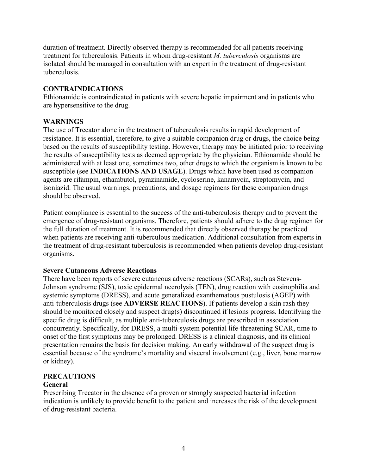duration of treatment. Directly observed therapy is recommended for all patients receiving treatment for tuberculosis. Patients in whom drug-resistant *M. tuberculosis* organisms are isolated should be managed in consultation with an expert in the treatment of drug-resistant tuberculosis.

## **CONTRAINDICATIONS**

Ethionamide is contraindicated in patients with severe hepatic impairment and in patients who are hypersensitive to the drug.

## **WARNINGS**

The use of Trecator alone in the treatment of tuberculosis results in rapid development of resistance. It is essential, therefore, to give a suitable companion drug or drugs, the choice being based on the results of susceptibility testing. However, therapy may be initiated prior to receiving the results of susceptibility tests as deemed appropriate by the physician. Ethionamide should be administered with at least one, sometimes two, other drugs to which the organism is known to be susceptible (see **INDICATIONS AND USAGE**). Drugs which have been used as companion agents are rifampin, ethambutol, pyrazinamide, cycloserine, kanamycin, streptomycin, and isoniazid. The usual warnings, precautions, and dosage regimens for these companion drugs should be observed.

Patient compliance is essential to the success of the anti-tuberculosis therapy and to prevent the emergence of drug-resistant organisms. Therefore, patients should adhere to the drug regimen for the full duration of treatment. It is recommended that directly observed therapy be practiced when patients are receiving anti-tuberculous medication. Additional consultation from experts in the treatment of drug-resistant tuberculosis is recommended when patients develop drug-resistant organisms.

#### **Severe Cutaneous Adverse Reactions**

There have been reports of severe cutaneous adverse reactions (SCARs), such as Stevens-Johnson syndrome (SJS), toxic epidermal necrolysis (TEN), drug reaction with eosinophilia and systemic symptoms (DRESS), and acute generalized exanthematous pustulosis (AGEP) with anti-tuberculosis drugs (see **ADVERSE REACTIONS**). If patients develop a skin rash they should be monitored closely and suspect drug(s) discontinued if lesions progress. Identifying the specific drug is difficult, as multiple anti-tuberculosis drugs are prescribed in association concurrently. Specifically, for DRESS, a multi-system potential life-threatening SCAR, time to onset of the first symptoms may be prolonged. DRESS is a clinical diagnosis, and its clinical presentation remains the basis for decision making. An early withdrawal of the suspect drug is essential because of the syndrome's mortality and visceral involvement (e.g., liver, bone marrow or kidney).

# **PRECAUTIONS**

#### **General**

Prescribing Trecator in the absence of a proven or strongly suspected bacterial infection indication is unlikely to provide benefit to the patient and increases the risk of the development of drug-resistant bacteria.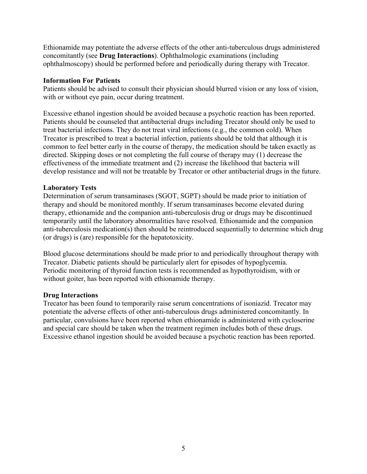Ethionamide may potentiate the adverse effects of the other anti-tuberculous drugs administered concomitantly (see **Drug Interactions**). Ophthalmologic examinations (including ophthalmoscopy) should be performed before and periodically during therapy with Trecator.

### **Information For Patients**

Patients should be advised to consult their physician should blurred vision or any loss of vision, with or without eye pain, occur during treatment.

Excessive ethanol ingestion should be avoided because a psychotic reaction has been reported. Patients should be counseled that antibacterial drugs including Trecator should only be used to treat bacterial infections. They do not treat viral infections (e.g., the common cold). When Trecator is prescribed to treat a bacterial infection, patients should be told that although it is common to feel better early in the course of therapy, the medication should be taken exactly as directed. Skipping doses or not completing the full course of therapy may (1) decrease the effectiveness of the immediate treatment and (2) increase the likelihood that bacteria will develop resistance and will not be treatable by Trecator or other antibacterial drugs in the future.

## **Laboratory Tests**

Determination of serum transaminases (SGOT, SGPT) should be made prior to initiation of therapy and should be monitored monthly. If serum transaminases become elevated during therapy, ethionamide and the companion anti-tuberculosis drug or drugs may be discontinued temporarily until the laboratory abnormalities have resolved. Ethionamide and the companion anti-tuberculosis medication(s) then should be reintroduced sequentially to determine which drug (or drugs) is (are) responsible for the hepatotoxicity.

Blood glucose determinations should be made prior to and periodically throughout therapy with Trecator. Diabetic patients should be particularly alert for episodes of hypoglycemia. Periodic monitoring of thyroid function tests is recommended as hypothyroidism, with or without goiter, has been reported with ethionamide therapy.

#### **Drug Interactions**

Trecator has been found to temporarily raise serum concentrations of isoniazid. Trecator may potentiate the adverse effects of other anti-tuberculous drugs administered concomitantly. In particular, convulsions have been reported when ethionamide is administered with cycloserine and special care should be taken when the treatment regimen includes both of these drugs. Excessive ethanol ingestion should be avoided because a psychotic reaction has been reported.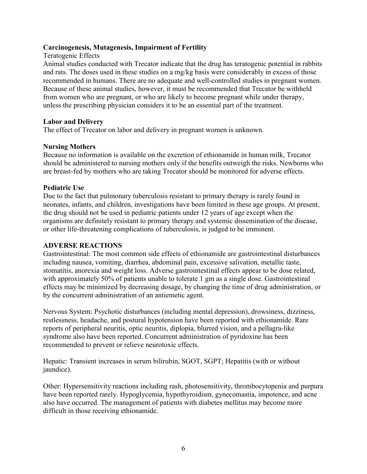### **Carcinogenesis, Mutagenesis, Impairment of Fertility**

Teratogenic Effects

Animal studies conducted with Trecator indicate that the drug has teratogenic potential in rabbits and rats. The doses used in these studies on a mg/kg basis were considerably in excess of those recommended in humans. There are no adequate and well-controlled studies in pregnant women. Because of these animal studies, however, it must be recommended that Trecator be withheld from women who are pregnant, or who are likely to become pregnant while under therapy, unless the prescribing physician considers it to be an essential part of the treatment.

### **Labor and Delivery**

The effect of Trecator on labor and delivery in pregnant women is unknown.

### **Nursing Mothers**

Because no information is available on the excretion of ethionamide in human milk, Trecator should be administered to nursing mothers only if the benefits outweigh the risks. Newborns who are breast-fed by mothers who are taking Trecator should be monitored for adverse effects.

#### **Pediatric Use**

Due to the fact that pulmonary tuberculosis resistant to primary therapy is rarely found in neonates, infants, and children, investigations have been limited in these age groups. At present, the drug should not be used in pediatric patients under 12 years of age except when the organisms are definitely resistant to primary therapy and systemic dissemination of the disease, or other life-threatening complications of tuberculosis, is judged to be imminent.

#### **ADVERSE REACTIONS**

Gastrointestinal: The most common side effects of ethionamide are gastrointestinal disturbances including nausea, vomiting, diarrhea, abdominal pain, excessive salivation, metallic taste, stomatitis, anorexia and weight loss. Adverse gastrointestinal effects appear to be dose related, with approximately 50% of patients unable to tolerate 1 gm as a single dose. Gastrointestinal effects may be minimized by decreasing dosage, by changing the time of drug administration, or by the concurrent administration of an antiemetic agent.

Nervous System: Psychotic disturbances (including mental depression), drowsiness, dizziness, restlessness, headache, and postural hypotension have been reported with ethionamide. Rare reports of peripheral neuritis, optic neuritis, diplopia, blurred vision, and a pellagra-like syndrome also have been reported. Concurrent administration of pyridoxine has been recommended to prevent or relieve neurotoxic effects.

Hepatic: Transient increases in serum bilirubin, SGOT, SGPT; Hepatitis (with or without jaundice).

Other: Hypersensitivity reactions including rash, photosensitivity, thrombocytopenia and purpura have been reported rarely. Hypoglycemia, hypothyroidism, gynecomastia, impotence, and acne also have occurred. The management of patients with diabetes mellitus may become more difficult in those receiving ethionamide.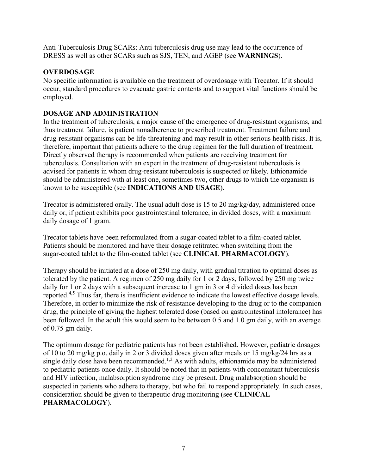Anti-Tuberculosis Drug SCARs: Anti-tuberculosis drug use may lead to the occurrence of DRESS as well as other SCARs such as SJS, TEN, and AGEP (see **WARNINGS**).

## **OVERDOSAGE**

No specific information is available on the treatment of overdosage with Trecator. If it should occur, standard procedures to evacuate gastric contents and to support vital functions should be employed.

## **DOSAGE AND ADMINISTRATION**

In the treatment of tuberculosis, a major cause of the emergence of drug-resistant organisms, and thus treatment failure, is patient nonadherence to prescribed treatment. Treatment failure and drug-resistant organisms can be life-threatening and may result in other serious health risks. It is, therefore, important that patients adhere to the drug regimen for the full duration of treatment. Directly observed therapy is recommended when patients are receiving treatment for tuberculosis. Consultation with an expert in the treatment of drug-resistant tuberculosis is advised for patients in whom drug-resistant tuberculosis is suspected or likely. Ethionamide should be administered with at least one, sometimes two, other drugs to which the organism is known to be susceptible (see **INDICATIONS AND USAGE**).

Trecator is administered orally. The usual adult dose is 15 to 20 mg/kg/day, administered once daily or, if patient exhibits poor gastrointestinal tolerance, in divided doses, with a maximum daily dosage of 1 gram.

Trecator tablets have been reformulated from a sugar-coated tablet to a film-coated tablet. Patients should be monitored and have their dosage retitrated when switching from the sugar-coated tablet to the film-coated tablet (see **CLINICAL PHARMACOLOGY**).

Therapy should be initiated at a dose of 250 mg daily, with gradual titration to optimal doses as tolerated by the patient. A regimen of 250 mg daily for 1 or 2 days, followed by 250 mg twice daily for 1 or 2 days with a subsequent increase to 1 gm in 3 or 4 divided doses has been reported.4,5 Thus far, there is insufficient evidence to indicate the lowest effective dosage levels. Therefore, in order to minimize the risk of resistance developing to the drug or to the companion drug, the principle of giving the highest tolerated dose (based on gastrointestinal intolerance) has been followed. In the adult this would seem to be between 0.5 and 1.0 gm daily, with an average of 0.75 gm daily.

The optimum dosage for pediatric patients has not been established. However, pediatric dosages of 10 to 20 mg/kg p.o. daily in 2 or 3 divided doses given after meals or 15 mg/kg/24 hrs as a single daily dose have been recommended.<sup>1,2</sup> As with adults, ethionamide may be administered to pediatric patients once daily. It should be noted that in patients with concomitant tuberculosis and HIV infection, malabsorption syndrome may be present. Drug malabsorption should be suspected in patients who adhere to therapy, but who fail to respond appropriately. In such cases, consideration should be given to therapeutic drug monitoring (see **CLINICAL PHARMACOLOGY**).